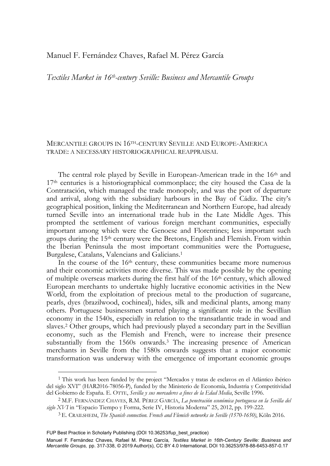## Manuel F. Fernández Chaves, Rafael M. Pérez García

*Textiles Market in 16th-century Seville: Business and Mercantile Groups* 

## MERCANTILE GROUPS IN 16TH-CENTURY SEVILLE AND EUROPE-AMERICA TRADE: A NECESSARY HISTORIOGRAPHICAL REAPPRAISAL

The central role played by Seville in European-American trade in the 16th and 17th centuries is a historiographical commonplace; the city housed the Casa de la Contratación, which managed the trade monopoly, and was the port of departure and arrival, along with the subsidiary harbours in the Bay of Cádiz. The city's geographical position, linking the Mediterranean and Northern Europe, had already turned Seville into an international trade hub in the Late Middle Ages. This prompted the settlement of various foreign merchant communities, especially important among which were the Genoese and Florentines; less important such groups during the 15th century were the Bretons, English and Flemish. From within the Iberian Peninsula the most important communities were the Portuguese, Burgalese, Catalans, Valencians and Galicians.1

In the course of the 16<sup>th</sup> century, these communities became more numerous and their economic activities more diverse. This was made possible by the opening of multiple overseas markets during the first half of the 16th century, which allowed European merchants to undertake highly lucrative economic activities in the New World, from the exploitation of precious metal to the production of sugarcane, pearls, dyes (brazilwood, cochineal), hides, silk and medicinal plants, among many others. Portuguese businessmen started playing a significant role in the Sevillian economy in the 1540s, especially in relation to the transatlantic trade in woad and slaves.2 Other groups, which had previously played a secondary part in the Sevillian economy, such as the Flemish and French, were to increase their presence substantially from the 1560s onwards.3 The increasing presence of American merchants in Seville from the 1580s onwards suggests that a major economic transformation was underway with the emergence of important economic groups

FUP Best Practice in Scholarly Publishing (DOI [10.36253/fup\\_best\\_practice\)](https://doi.org/10.36253/fup_best_practice)

<sup>1</sup> This work has been funded by the project "Mercados y tratas de esclavos en el Atlántico ibérico del siglo XVI" (HAR2016-78056-P), funded by the Ministerio de Economía, Industria y Competitividad del Gobierno de España. E. OTTE, *Sevilla y sus mercaderes a fines de la Edad Media*, Seville 1996. 2 M.F. FERNÁNDEZ CHAVES, R.M. PÉREZ GARCÍA, *La penetración económica portuguesa en la Sevilla del* 

*siglo XVI* in "Espacio Tiempo y Forma, Serie IV, Historia Moderna" 25, 2012, pp. 199-222.

<sup>3</sup> E. CRAILSHEIM, *The Spanish connection*. *French and Flemish networks in Seville (1570-1650)*, Köln 2016.

Manuel F. Fernández Chaves, Rafael M. Pérez García*, Textiles Market in 16th-Century Seville: Business and Mercantile Groups,* pp. 317-338, © 2019 Author(s), [CC BY 4.0 International,](http://creativecommons.org/licenses/by/4.0/legalcode) DOI [10.36253/978-88-6453-857-0.17](https://doi.org/10.36253/978-88-6453-857-0.17)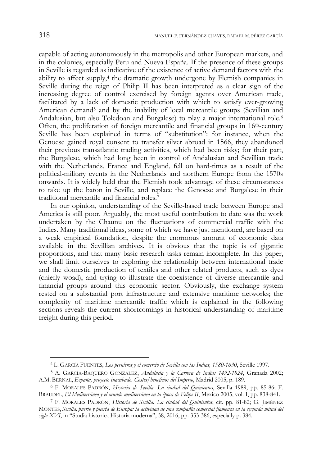capable of acting autonomously in the metropolis and other European markets, and in the colonies, especially Peru and Nueva España. If the presence of these groups in Seville is regarded as indicative of the existence of active demand factors with the ability to affect supply, $4$  the dramatic growth undergone by Flemish companies in Seville during the reign of Philip II has been interpreted as a clear sign of the increasing degree of control exercised by foreign agents over American trade, facilitated by a lack of domestic production with which to satisfy ever-growing American demand5 and by the inability of local mercantile groups (Sevillian and Andalusian, but also Toledoan and Burgalese) to play a major international role.<sup>6</sup> Often, the proliferation of foreign mercantile and financial groups in 16th-century Seville has been explained in terms of "substitution": for instance, when the Genoese gained royal consent to transfer silver abroad in 1566, they abandoned their previous transatlantic trading activities, which had been risky; for their part, the Burgalese, which had long been in control of Andalusian and Sevillian trade with the Netherlands, France and England, fell on hard-times as a result of the political-military events in the Netherlands and northern Europe from the 1570s onwards. It is widely held that the Flemish took advantage of these circumstances to take up the baton in Seville, and replace the Genoese and Burgalese in their traditional mercantile and financial roles.<sup>7</sup>

In our opinion, understanding of the Seville-based trade between Europe and America is still poor. Arguably, the most useful contribution to date was the work undertaken by the Chaunu on the fluctuations of commercial traffic with the Indies. Many traditional ideas, some of which we have just mentioned, are based on a weak empirical foundation, despite the enormous amount of economic data available in the Sevillian archives. It is obvious that the topic is of gigantic proportions, and that many basic research tasks remain incomplete. In this paper, we shall limit ourselves to exploring the relationship between international trade and the domestic production of textiles and other related products, such as dyes (chiefly woad), and trying to illustrate the coexistence of diverse mercantile and financial groups around this economic sector. Obviously, the exchange system rested on a substantial port infrastructure and extensive maritime networks; the complexity of maritime mercantile traffic which is explained in the following sections reveals the current shortcomings in historical understanding of maritime freight during this period.

<sup>4</sup> L. GARCÍA FUENTES, *Los peruleros y el comercio de Sevilla con las Indias, 1580-1630*, Seville 1997.

<sup>5</sup> A. GARCÍA-BAQUERO GONZÁLEZ, *Andalucía y la Carrera de Indias 1492-1824*, Granada 2002; A.M. BERNAL, *España, proyecto inacabado. Costes/beneficios del Imperio*, Madrid 2005, p. 189.

<sup>6</sup> F. MORALES PADRÓN, *Historia de Sevilla. La ciudad del Quinientos*, Sevilla 1989, pp. 85-86; F. BRAUDEL, *El Mediterráneo y el mundo mediterráneo en la época de Felipe II*, Mexico 2005, vol. I, pp. 838-841. 7 F. MORALES PADRÓN, *Historia de Sevilla. La ciudad del Quinientos*, cit. pp. 81-82; G. JIMÉNEZ

MONTES, *Sevilla, puerto y puerta de Europa: la actividad de una compañía comercial flamenca en la segunda mitad del siglo XVI*, in "Studia historica Historia moderna", 38, 2016, pp. 353-386, especially p. 384.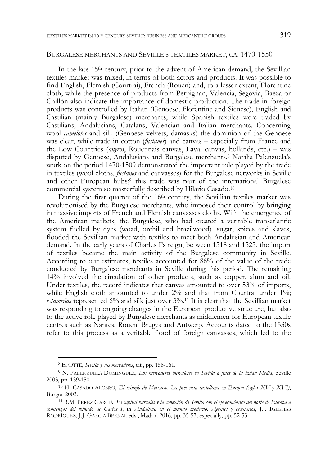#### BURGALESE MERCHANTS AND SEVILLE'S TEXTILES MARKET, CA. 1470-1550

In the late 15<sup>th</sup> century, prior to the advent of American demand, the Sevillian textiles market was mixed, in terms of both actors and products. It was possible to find English, Flemish (Courtrai), French (Rouen) and, to a lesser extent, Florentine cloth, while the presence of products from Perpignan, Valencia, Segovia, Baeza or Chillón also indicate the importance of domestic production. The trade in foreign products was controlled by Italian (Genoese, Florentine and Sienese), English and Castilian (mainly Burgalese) merchants, while Spanish textiles were traded by Castilians, Andalusians, Catalans, Valencian and Italian merchants. Concerning wool *camelotes* and silk (Genoese velvets, damasks) the dominion of the Genoese was clear, while trade in cotton (*fustanes*) and canvas – especially from France and the Low Countries (*angeos*, Rouennais canvas, Laval canvas, hollands, etc.) – was disputed by Genoese, Andalusians and Burgalese merchants.8 Natalia Palenzuela's work on the period 1470-1509 demonstrated the important role played by the trade in textiles (wool cloths, *fustanes* and canvasses) for the Burgalese networks in Seville and other European hubs;<sup>9</sup> this trade was part of the international Burgalese commercial system so masterfully described by Hilario Casado.10

During the first quarter of the 16<sup>th</sup> century, the Sevillian textiles market was revolutionised by the Burgalese merchants, who imposed their control by bringing in massive imports of French and Flemish canvasses cloths. With the emergence of the American markets, the Burgalese, who had created a veritable transatlantic system fuelled by dyes (woad, orchil and brazilwood), sugar, spices and slaves, flooded the Sevillian market with textiles to meet both Andalusian and American demand. In the early years of Charles I's reign, between 1518 and 1525, the import of textiles became the main activity of the Burgalese community in Seville. According to our estimates, textiles accounted for 86% of the value of the trade conducted by Burgalese merchants in Seville during this period. The remaining 14% involved the circulation of other products, such as copper, alum and oil. Under textiles, the record indicates that canvas amounted to over 53% of imports, while English cloth amounted to under 2% and that from Courtrai under 1%; *estameñas* represented 6% and silk just over 3%.11 It is clear that the Sevillian market was responding to ongoing changes in the European productive structure, but also to the active role played by Burgalese merchants as middlemen for European textile centres such as Nantes, Rouen, Bruges and Antwerp. Accounts dated to the 1530s refer to this process as a veritable flood of foreign canvasses, which led to the

<sup>8</sup> E. OTTE, *Sevilla y sus mercaderes*, cit., pp. 158-161.

<sup>9</sup> N. PALENZUELA DOMÍNGUEZ, *Los mercaderes burgaleses en Sevilla a fines de la Edad Media*, Seville 2003, pp. 139-150.

<sup>10</sup> H. CASADO ALONSO, *El triunfo de Mercurio. La presencia castellana en Europa (siglos XV y XVI)*, Burgos 2003. 11 R.M. PÉREZ GARCÍA, *El capital burgalés y la conexión de Sevilla con el eje económico del norte de Europa a* 

*comienzos del reinado de Carlos I*, in *Andalucía en el mundo moderno. Agentes y escenarios*, J.J. IGLESIAS RODRÍGUEZ, J.J. GARCÍA BERNAL eds., Madrid 2016, pp. 35-57, especially, pp. 52-53.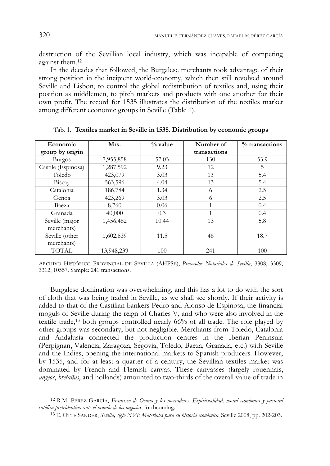destruction of the Sevillian local industry, which was incapable of competing against them.12

In the decades that followed, the Burgalese merchants took advantage of their strong position in the incipient world-economy, which then still revolved around Seville and Lisbon, to control the global redistribution of textiles and, using their position as middlemen, to pitch markets and products with one another for their own profit. The record for 1535 illustrates the distribution of the textiles market among different economic groups in Seville (Table 1).

| Economic           | Mrs.       | $%$ value | Number of    | % transactions |
|--------------------|------------|-----------|--------------|----------------|
| group by origin    |            |           | transactions |                |
| <b>Burgos</b>      | 7,955,858  | 57.03     | 130          | 53.9           |
| Castile (Espinosa) | 1,287,592  | 9.23      | 12           | 5              |
| Toledo             | 423,079    | 3.03      | 13           | 5.4            |
| Biscay             | 563,596    | 4.04      | 13           | 5.4            |
| Catalonia          | 186,784    | 1.34      | 6            | 2.5            |
| Genoa              | 423,269    | 3.03      | 6            | 2.5            |
| Baeza              | 8,760      | 0.06      | 1            | 0.4            |
| Granada            | 40,000     | 0.3       |              | 0.4            |
| Seville (major     | 1,456,462  | 10.44     | 13           | 5.8            |
| merchants)         |            |           |              |                |
| Seville (other     | 1,602,839  | 11.5      | 46           | 18.7           |
| merchants)         |            |           |              |                |
| <b>TOTAL</b>       | 13,948,239 | 100       | 241          | 100            |

Tab. 1. **Textiles market in Seville in 1535. Distribution by economic groups** 

ARCHIVO HISTÓRICO PROVINCIAL DE SEVILLA (AHPSE), *Protocolos Notariales de Sevilla*, 3308, 3309, 3312, 10557. Sample: 241 transactions.

Burgalese domination was overwhelming, and this has a lot to do with the sort of cloth that was being traded in Seville, as we shall see shortly. If their activity is added to that of the Castilian bankers Pedro and Alonso de Espinosa, the financial moguls of Seville during the reign of Charles V, and who were also involved in the textile trade,13 both groups controlled nearly 66% of all trade. The role played by other groups was secondary, but not negligible. Merchants from Toledo, Catalonia and Andalusia connected the production centres in the Iberian Peninsula (Perpignan, Valencia, Zaragoza, Segovia, Toledo, Baeza, Granada, etc.) with Seville and the Indies, opening the international markets to Spanish producers. However, by 1535, and for at least a quarter of a century, the Sevillian textiles market was dominated by French and Flemish canvas. These canvasses (largely rouennais, *angeos*, *bretañas*, and hollands) amounted to two-thirds of the overall value of trade in

<sup>12</sup> R.M. PÉREZ GARCÍA, *Francisco de Osuna y los mercaderes. Espiritualidad, moral económica y pastoral católica pretridentina ante el mundo de los negocios*, forthcoming.

<sup>13</sup> E. OTTE SANDER, *Sevilla, siglo XVI: Materiales para su historia económica*, Seville 2008, pp. 202-203.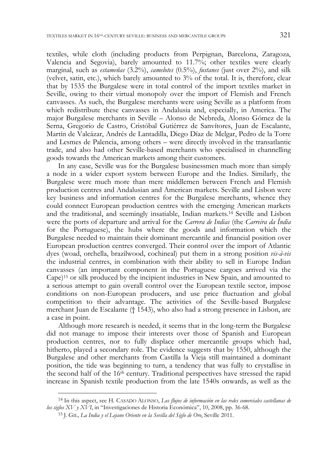textiles, while cloth (including products from Perpignan, Barcelona, Zaragoza, Valencia and Segovia), barely amounted to 11.7%; other textiles were clearly marginal, such as *estameñas* (3.2%), *camelotes* (0.5%), *fustanes* (just over 2%), and silk (velvet, satin, etc.), which barely amounted to 3% of the total. It is, therefore, clear that by 1535 the Burgalese were in total control of the import textiles market in Seville, owing to their virtual monopoly over the import of Flemish and French canvasses. As such, the Burgalese merchants were using Seville as a platform from which redistribute these canvasses in Andalusia and, especially, in America. The major Burgalese merchants in Seville – Alonso de Nebreda, Alonso Gómez de la Serna, Gregorio de Castro, Cristóbal Gutiérrez de Sanvítores, Juan de Escalante, Martín de Valcázar, Andrés de Lantadilla, Diego Díaz de Melgar, Pedro de la Torre and Lesmes de Palencia, among others – were directly involved in the transatlantic trade, and also had other Seville-based merchants who specialised in channelling goods towards the American markets among their customers.

In any case, Seville was for the Burgalese businessmen much more than simply a node in a wider export system between Europe and the Indies. Similarly, the Burgalese were much more than mere middlemen between French and Flemish production centres and Andalusian and American markets. Seville and Lisbon were key business and information centres for the Burgalese merchants, whence they could connect European production centres with the emerging American markets and the traditional, and seemingly insatiable, Indian markets.14 Seville and Lisbon were the ports of departure and arrival for the *Carrera de Indias* (the *Carreira da Índia* for the Portuguese), the hubs where the goods and information which the Burgalese needed to maintain their dominant mercantile and financial position over European production centres converged. Their control over the import of Atlantic dyes (woad, orchella, brazilwood, cochineal) put them in a strong position *vis-à-vis* the industrial centres, in combination with their ability to sell in Europe Indian canvasses (an important component in the Portuguese cargoes arrived via the Cape)15 or silk produced by the incipient industries in New Spain, and amounted to a serious attempt to gain overall control over the European textile sector, impose conditions on non-European producers, and use price fluctuation and global competition to their advantage. The activities of the Seville-based Burgalese merchant Juan de Escalante († 1543), who also had a strong presence in Lisbon, are a case in point.

Although more research is needed, it seems that in the long-term the Burgalese did not manage to impose their interests over those of Spanish and European production centres, nor to fully displace other mercantile groups which had, hitherto, played a secondary role. The evidence suggests that by 1550, although the Burgalese and other merchants from Castilla la Vieja still maintained a dominant position, the tide was beginning to turn, a tendency that was fully to crystallise in the second half of the 16th century. Traditional perspectives have stressed the rapid increase in Spanish textile production from the late 1540s onwards, as well as the

<sup>14</sup> In this aspect, see H. CASADO ALONSO, *Los flujos de información en las redes comerciales castellanas de los siglos XV y XVI*, in "Investigaciones de Historia Económica", 10, 2008, pp. 36-68.

<sup>15</sup> J. GIL, *La India y el Lejano Oriente en la Sevilla del Siglo de Oro*, Seville 2011.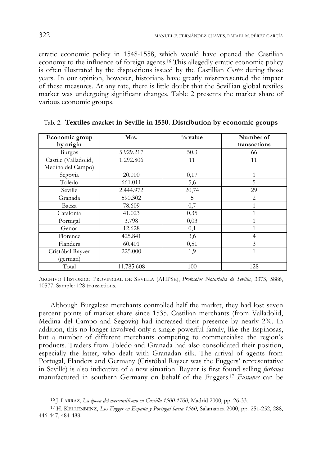erratic economic policy in 1548-1558, which would have opened the Castilian economy to the influence of foreign agents.16 This allegedly erratic economic policy is often illustrated by the dispositions issued by the Castillian *Cortes* during those years. In our opinion, however, historians have greatly misrepresented the impact of these measures. At any rate, there is little doubt that the Sevillian global textiles market was undergoing significant changes. Table 2 presents the market share of various economic groups.

| Economic group       | Mrs.       | $\%$ value | Number of      |  |  |
|----------------------|------------|------------|----------------|--|--|
| by origin            |            |            | transactions   |  |  |
| <b>Burgos</b>        | 5.929.217  | 50,3       | 66             |  |  |
| Castile (Valladolid, | 1.292.806  | 11         | 11             |  |  |
| Medina del Campo)    |            |            |                |  |  |
| Segovia              | 20.000     | 0,17       | 1              |  |  |
| Toledo               | 661.011    | 5,6        | 5              |  |  |
| Seville              | 2.444.972  | 20,74      | 29             |  |  |
| Granada              | 590.302    | 5          | $\overline{2}$ |  |  |
| Baeza                | 78.609     | 0,7        |                |  |  |
| Catalonia            | 41.023     | 0,35       |                |  |  |
| Portugal             | 3.798      | 0,03       |                |  |  |
| Genoa                | 12.628     | 0,1        |                |  |  |
| Florence             | 425.841    | 3,6        | 4              |  |  |
| Flanders             | 60.401     | 0,51       | 3              |  |  |
| Cristóbal Rayzer     | 225.000    | 1,9        | 1              |  |  |
| (german)             |            |            |                |  |  |
| Total                | 11.785.608 | 100        | 128            |  |  |

Tab. 2. **Textiles market in Seville in 1550. Distribution by economic groups**

Although Burgalese merchants controlled half the market, they had lost seven percent points of market share since 1535. Castilian merchants (from Valladolid, Medina del Campo and Segovia) had increased their presence by nearly 2%. In addition, this no longer involved only a single powerful family, like the Espinosas, but a number of different merchants competing to commercialise the region's products. Traders from Toledo and Granada had also consolidated their position, especially the latter, who dealt with Granadan silk. The arrival of agents from Portugal, Flanders and Germany (Cristóbal Rayzer was the Fuggers' representative in Seville) is also indicative of a new situation. Rayzer is first found selling *fustanes* manufactured in southern Germany on behalf of the Fuggers.17 *Fustanes* can be

ARCHIVO HISTORICO PROVINCIAL DE SEVILLA (AHPSE), *Protocolos Notariales de Sevilla*, 3373, 5886, 10577. Sample: 128 transactions.

<sup>16</sup> J. LARRAZ, *La época del mercantilismo en Castilla 1500-1700*, Madrid 2000, pp. 26-33.

<sup>17</sup> H. KELLENBENZ, *Los Fugger en España y Portugal hasta 1560*, Salamanca 2000, pp. 251-252, 288, 446-447, 484-488.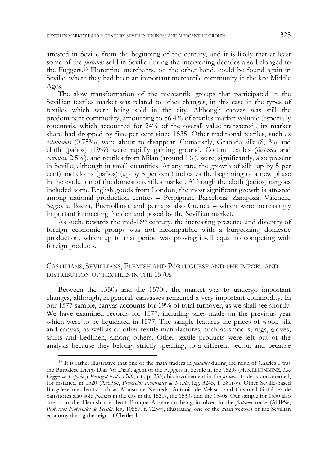attested in Seville from the beginning of the century, and it is likely that at least some of the *fustanes* sold in Seville during the intervening decades also belonged to the Fuggers.18 Florentine merchants, on the other hand, could be found again in Seville, where they had been an important mercantile community in the late Middle Ages.

The slow transformation of the mercantile groups that participated in the Sevillian textiles market was related to other changes, in this case in the types of textiles which were being sold in the city. Although canvas was still the predominant commodity, amounting to 56.4% of textiles market volume (especially rouennais, which accounted for 24% of the overall value transacted), its market share had dropped by five per cent since 1535. Other traditional textiles, such as *estameñas* (0.75%), were about to disappear. Conversely, Granada silk (8,1%) and cloth (paños) (19%) were rapidly gaining ground. Cotton textiles (*fustanes* and *cotonías*, 2.5%), and textiles from Milan (around 1%), were, significantly, also present in Seville, although in small quantities. At any rate, the growth of silk (up by 5 per cent) and cloths (paños) (up by 8 per cent) indicates the beginning of a new phase in the evolution of the domestic textiles market. Although the cloth (paños) cargoes included some English goods from London, the most significant growth is attested among national production centres – Perpignan, Barcelona, Zaragoza, Valencia, Segovia, Baeza, Puertollano, and perhaps also Cuenca – which were increasingly important in meeting the demand posed by the Sevillian market.

As such, towards the mid-16<sup>th</sup> century, the increasing presence and diversity of foreign economic groups was not incompatible with a burgeoning domestic production, which up to that period was proving itself equal to competing with foreign products.

### CASTILIANS, SEVILLIANS, FLEMISH AND PORTUGUESE AND THE IMPORT AND DISTRIBUTION OF TEXTILES IN THE 1570S

Between the 1550s and the 1570s, the market was to undergo important changes, although, in general, canvasses remained a very important commodity. In our 1577 sample, canvas accounts for 19% of total turnover, as we shall see shortly. We have examined records for 1577, including sales made on the previous year which were to be liquidated in 1577. The sample features the prices of wool, silk and canvas, as well as of other textile manufactures, such as smocks, rugs, gloves, shirts and bedlinen, among others. Other textile products were left out of the analysis because they belong, strictly speaking, to a different sector, and because

<sup>18</sup> It is rather illustrative that one of the main traders in *fustanes* during the reign of Charles I was the Burgalese Diego Díaz (or Dias), agent of the Fuggers in Seville in the 1520s (H. KELLENBENZ, *Los Fugger en España y Portugal hasta 1560*, cit., p. 253): his involvement in the *fustanes* trade is documented, for instance, in 1520 (AHPSe, *Protocolos Notariales de Sevilla*, leg. 3245, f. 381r-v). Other Seville-based Burgalese merchants such as Alonso de Nebreda, Antonio de Velasco and Cristóbal Gutiérrez de Sanvítores also sold *fustanes* in the city in the 1520s, the 1530s and the 1540s. Our sample for 1550 also attests to the Flemish merchant Enrique Ansemann being involved in the *fustanes* trade (AHPSe, *Protocolos Notariales de Sevilla*, leg. 10557, f. 72r-v), illustrating one of the main vectors of the Sevillian economy during the reign of Charles I.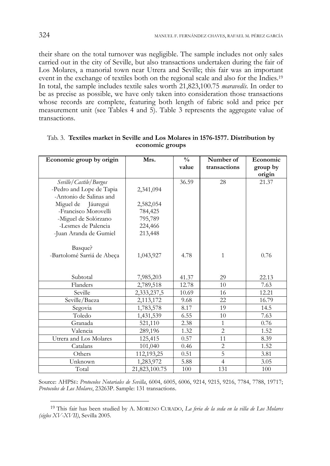their share on the total turnover was negligible. The sample includes not only sales carried out in the city of Seville, but also transactions undertaken during the fair of Los Molares, a manorial town near Utrera and Seville; this fair was an important event in the exchange of textiles both on the regional scale and also for the Indies.19 In total, the sample includes textile sales worth 21,823,100.75 *maravedís*. In order to be as precise as possible, we have only taken into consideration those transactions whose records are complete, featuring both length of fabric sold and price per measurement unit (see Tables 4 and 5). Table 3 represents the aggregate value of transactions.

| Economic group by origin   | Mrs.          | $\frac{0}{0}$ | Number of      | Economic |  |
|----------------------------|---------------|---------------|----------------|----------|--|
|                            |               | value         | transactions   | group by |  |
|                            |               |               |                | origin   |  |
| Seville/Castile/Burgos     |               | 36.59         | 28             | 21.37    |  |
| -Pedro and Lope de Tapia   | 2,341,094     |               |                |          |  |
| -Antonio de Salinas and    |               |               |                |          |  |
| Miguel de Jáuregui         | 2,582,054     |               |                |          |  |
| -Francisco Morovelli       | 784,425       |               |                |          |  |
| -Miguel de Solórzano       | 795,789       |               |                |          |  |
| -Lesmes de Palencia        | 224,466       |               |                |          |  |
| -Juan Aranda de Gumiel     | 213,448       |               |                |          |  |
|                            |               |               |                |          |  |
| Basque?                    |               |               |                |          |  |
| -Bartolomé Sarriá de Abeça | 1,043,927     | 4.78          | $\mathbf{1}$   | 0.76     |  |
|                            |               |               |                |          |  |
|                            |               |               |                |          |  |
| Subtotal                   | 7,985,203     | 41.37         | 29             | 22.13    |  |
| Flanders                   | 2,789,518     | 12.78         | 10             | 7.63     |  |
| Seville                    | 2,333,237,5   | 10.69         | 16             | 12.21    |  |
| Seville/Baeza              | 2,113,172     | 9.68          | 22             | 16.79    |  |
| Segovia                    | 1,783,578     | 8.17          | 19             | 14.5     |  |
| Toledo                     | 1,431,539     | 6.55          | 10             | 7.63     |  |
| Granada                    | 521,110       | 2.38          | 1              | 0.76     |  |
| Valencia                   | 289,196       | 1.32          | $\overline{c}$ | 1.52     |  |
| Utrera and Los Molares     | 125,415       | 0.57          | 11             | 8.39     |  |
| Catalans                   | 101,040       | 0.46          | $\overline{2}$ | 1.52     |  |
| Others                     | 112,193,25    | 0.51          | $\overline{5}$ | 3.81     |  |
| Unknown                    | 1,283,972     | 5.88          | $\overline{4}$ | 3.05     |  |
| Total                      | 21,823,100.75 | 100           | 131            | 100      |  |

Tab. 3. **Textiles market in Seville and Los Molares in 1576-1577. Distribution by economic groups** 

Source: AHPSE: *Protocolos Notariales de Sevilla*, 6004, 6005, 6006, 9214, 9215, 9216, 7784, 7788, 19717; *Protocolos de Los Molares*, 23263P. Sample: 131 transactions.

<sup>19</sup> This fair has been studied by A. MORENO CURADO, *La feria de la seda en la villa de Los Molares (siglos XV-XVII)*, Sevilla 2005.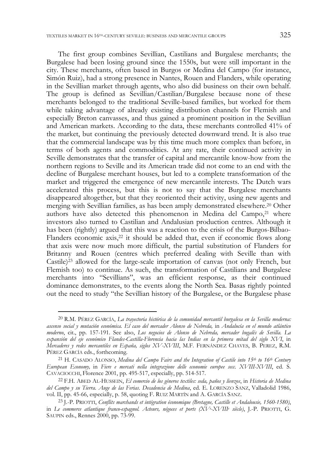The first group combines Sevillian, Castilians and Burgalese merchants; the Burgalese had been losing ground since the 1550s, but were still important in the city. These merchants, often based in Burgos or Medina del Campo (for instance, Simón Ruiz), had a strong presence in Nantes, Rouen and Flanders, while operating in the Sevillian market through agents, who also did business on their own behalf. The group is defined as Sevillian/Castilian/Burgalese because none of these merchants belonged to the traditional Seville-based families, but worked for them while taking advantage of already existing distribution channels for Flemish and especially Breton canvasses, and thus gained a prominent position in the Sevillian and American markets. According to the data, these merchants controlled 41% of the market, but continuing the previously detected downward trend. It is also true that the commercial landscape was by this time much more complex than before, in terms of both agents and commodities. At any rate, their continued activity in Seville demonstrates that the transfer of capital and mercantile know-how from the northern regions to Seville and its American trade did not come to an end with the decline of Burgalese merchant houses, but led to a complete transformation of the market and triggered the emergence of new mercantile interests. The Dutch wars accelerated this process, but this is not to say that the Burgalese merchants disappeared altogether, but that they reoriented their activity, using new agents and merging with Sevillian families, as has been amply demonstrated elsewhere.20 Other authors have also detected this phenomenon in Medina del Campo,21 where investors also turned to Castilian and Andalusian production centres. Although it has been (rightly) argued that this was a reaction to the crisis of the Burgos-Bilbao-Flanders economic axis,22 it should be added that, even if economic flows along that axis were now much more difficult, the partial substitution of Flanders for Britanny and Rouen (centres which preferred dealing with Seville than with Castile)23 allowed for the large-scale importation of canvas (not only French, but Flemish too) to continue. As such, the transformation of Castilians and Burgalese merchants into "Sevillians", was an efficient response, as their continued dominance demonstrates, to the events along the North Sea. Basas rightly pointed out the need to study "the Sevillian history of the Burgalese, or the Burgalese phase

<sup>20</sup> R.M. PÉREZ GARCÍA, *La trayectoria histórica de la comunidad mercantil burgalesa en la Sevilla moderna: ascenso social y mutación económica. El caso del mercader Alonso de Nebreda,* in *Andalucía en el mundo atlántico moderno*, cit., pp. 157-191. See also, *Los negocios de Alonso de Nebreda, mercader bugalés de Sevilla. La expansión del eje económico Flandes-Castilla-Florencia hacia las Indias en la primera mitad del siglo XVI*, in *Mercaderes y redes mercantiles en España, siglos XV-XVIII*, M.F. FERNÁNDEZ CHAVES, B. PEREZ, R.M. PÉREZ GARCÍA eds., forthcoming.<br><sup>21</sup> H. CASADO ALONSO, *Medina del Campo Fairs and the Integration of Castile into 15<sup>th</sup> to 16<sup>th</sup> Century* 

*European Economy,* in *Fiere e mercati nella integrazione delle economie europee secc. XVIII-XVIII*, ed. S. CAVACIOCCHI, Florence 2001, pp. 495-517, especially, pp. 514-517.

<sup>22</sup> F.H. ABED AL-HUSSEIN, *El comercio de los géneros textiles: seda, paños y lienzos*, in *Historia de Medina del Campo y su Tierra. Auge de las Ferias. Decadencia de Medina*, ed. E. LORENZO SANZ, Valladolid 1986, vol. II, pp. 45-66, especially, p. 58, quoting F. RUIZ MARTÍN and A. GARCÍA SANZ. 23 J.-P. PRIOTTI, *Conflits marchands et intégration économique (Bretagne, Castille et Andalousie, 1560-1580)*,

in *Le commerce atlantique franco-espagnol. Acteurs, négoces et ports (XVe -XVIIIe siècle)*, J.-P. PRIOTTI, G. SAUPIN eds., Rennes 2000, pp. 73-99.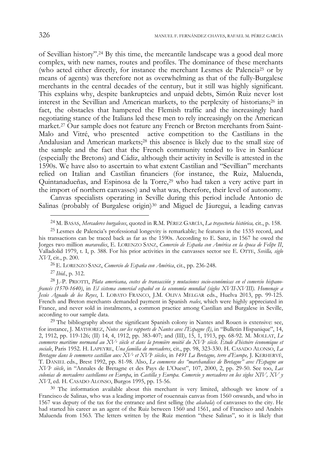of Sevillian history".24 By this time, the mercantile landscape was a good deal more complex, with new names, routes and profiles. The dominance of these merchants (who acted either directly, for instance the merchant Lesmes de Palencia25 or by means of agents) was therefore not as overwhelming as that of the fully-Burgalese merchants in the central decades of the century, but it still was highly significant. This explains why, despite bankruptcies and unpaid debts, Simón Ruiz never lost interest in the Sevillian and American markets, to the perplexity of historians;26 in fact, the obstacles that hampered the Flemish traffic and the increasingly hard negotiating stance of the Italians led these men to rely increasingly on the American market.27 Our sample does not feature any French or Breton merchants from Saint-Malo and Vitré, who presented active competition to the Castilians in the Andalusian and American markets;28 this absence is likely due to the small size of the sample and the fact that the French community tended to live in Sanlúcar (especially the Bretons) and Cádiz, although their activity in Seville is attested in the 1590s. We have also to ascertain to what extent Castilian and "Sevillian" merchants relied on Italian and Castilian financiers (for instance, the Ruiz, Maluenda, Quintanadueñas, and Espinosa de la Torre,<sup>29</sup> who had taken a very active part in the import of northern canvasses) and what was, therefore, their level of autonomy.

Canvas specialists operating in Seville during this period include Antonio de Salinas (probably of Burgalese origin)<sup>30</sup> and Miguel de Jáuregui, a leading canvas

<sup>27</sup>*Ibid*., p. 312.

-

<sup>29</sup> The bibliography about the significant Spanish colony in Nantes and Rouen is extensive: see, for instance, J. MATHOREZ, *Notes sur les rapports de Nantes avec l'Espagne (I)*, in "Bulletin Hispanique", 14, 2, 1912, pp. 119-126; (II) 14, 4, 1912, pp. 383-407; and (III), 15, 1, 1913, pp. 68-92. M. MOLLAT, *Le commerce maritime normand au XVe siècle et dans la première moitié du XVIe siècle. Étude d'histoire économique et sociale*, Paris 1952. H. LAPEYRE, *Una familia de mercaderes*, cit., pp. 98, 323-330. H. CASADO ALONSO, *La Bretagne dans le commerce castillan aux XVe et XVIe siècles*, in *1491 La Bretagne, terre d'Europe,* J. KERHERVÉ, T. DANIEL eds., Brest 1992, pp. 81-98. Also, *Le commerce des "marchandises de Bretagne" avec l'Espagne au XVIe siècle*, in "Annales de Bretagne et des Pays de L'Ouest", 107, 2000, 2, pp. 29-50. See too, *Las colonias de mercaderes castellanos en Europa*, in *Castilla y Europa. Comercio y mercaderes en los siglos XIV, XV y XVI*, ed. H. CASADO ALONSO, Burgos 1995, pp. 15-56.

<sup>30</sup> The information available about this merchant is very limited, although we know of a Francisco de Salinas, who was a leading importer of rouennais canvas from 1560 onwards, and who in 1567 was deputy of the tax for the entrance and first selling (the *alcabala*) of canvasses to the city. He had started his career as an agent of the Ruiz between 1560 and 1561, and of Francisco and Andrés Maluenda from 1563. The letters written by the Ruiz mention "these Salinas", so it is likely that

<sup>24</sup> M. BASAS, *Mercaderes burgaleses*, quoted in R.M. PÉREZ GARCÍA, *La trayectoria histórica,* cit., p. 158.

<sup>25</sup> Lesmes de Palencia's professional longevity is remarkable; he features in the 1535 record, and his transactions can be traced back as far as the 1590s. According to E. Sanz, in 1567 he owed the Jorges two million *maravedíes*, E. LORENZO SANZ, *Comercio de España con América en la época de Felipe II*, Valladolid 1979, t. I, p. 388. For his prior activities in the canvasses sector see E. OTTE, *Sevilla, siglo XVI*, cit., p. 200.

<sup>26</sup> E. LORENZO SANZ, *Comercio de España con América*, cit., pp. 236-248.

<sup>28</sup> J.-P. PRIOTTI, *Plata americana, costes de transacción y mutaciones socio-económicas en el comercio hispanofrancés (1570-1640)*, in *El sistema comercial español en la economía mundial (siglos XVII-XVIII). Homenaje a Jesús Aguado de los Reyes*, I. LOBATO FRANCO, J.M. OLIVA MELGAR eds., Huelva 2013, pp. 99-125. French and Breton merchants demanded payment in Spanish *reales*, which were highly appreciated in France, and never sold in instalments, a common practice among Castilian and Burgalese in Seville, according to our sample data.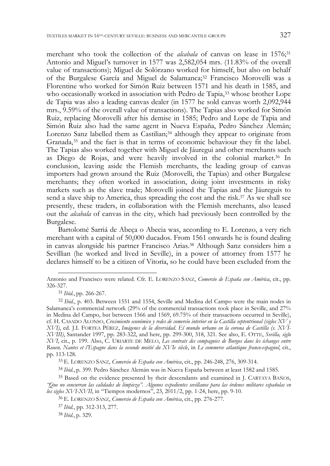merchant who took the collection of the *alcabala* of canvas on lease in 1576;<sup>31</sup> Antonio and Miguel's turnover in 1577 was 2,582,054 mrs. (11.83% of the overall value of transactions); Miguel de Solórzano worked for himself, but also on behalf of the Burgalese García and Miguel de Salamanca;32 Francisco Morovelli was a Florentine who worked for Simón Ruiz between 1571 and his death in 1585, and who occasionally worked in association with Pedro de Tapia,<sup>33</sup> whose brother Lope de Tapia was also a leading canvas dealer (in 1577 he sold canvas worth 2,092,944 mrs., 9.59% of the overall value of transactions). The Tapias also worked for Simón Ruiz, replacing Morovelli after his demise in 1585; Pedro and Lope de Tapia and Simón Ruiz also had the same agent in Nueva España, Pedro Sánchez Alemán; Lorenzo Sanz labelled them as Castilian;<sup>34</sup> although they appear to originate from Granada,35 and the fact is that in terms of economic behaviour they fit the label. The Tapias also worked together with Miguel de Jáuregui and other merchants such as Diego de Rojas, and were heavily involved in the colonial market.36 In conclusion, leaving aside the Flemish merchants, the leading group of canvas importers had grown around the Ruiz (Morovelli, the Tapias) and other Burgalese merchants; they often worked in association, doing joint investments in risky markets such as the slave trade; Morovelli joined the Tapias and the Jáureguis to send a slave ship to America, thus spreading the cost and the risk.37 As we shall see presently, these traders, in collaboration with the Flemish merchants, also leased out the *alcabala* of canvas in the city, which had previously been controlled by the Burgalese.

Bartolomé Sarriá de Abeça o Abecia was, according to E. Lorenzo, a very rich merchant with a capital of 50,000 ducados. From 1561 onwards he is found dealing in canvas alongside his partner Francisco Arias.38 Although Sanz considers him a Sevillian (he worked and lived in Seville), in a power of attorney from 1577 he declares himself to be a citizen of Vitoria, so he could have been excluded from the

<sup>34</sup>*Ibid.*, p. 399. Pedro Sánchez Alemán was in Nueva España between at least 1582 and 1585.

35 Based on the evidence presented by their descendants and examined in J. CARTAYA BAÑOS, *"Que no concurran las calidades de limpieza". Algunos expedientes sevillanos para las órdenes militares españolas en los siglos XVI-XVII*, in "Tiempos modernos", 23, 2011/2, pp. 1-24, here, pp. 9-10.

<sup>38</sup>*Ibid.*, p. 329.

Antonio and Francisco were related. Cfr. E. LORENZO SANZ, *Comercio de España con América*, cit., pp. 326-327.

<sup>31</sup>*Ibid.*, pp. 266-267.

<sup>32</sup>*Ibid.*, p. 403. Between 1551 and 1554, Seville and Medina del Campo were the main nodes in Salamanca's commercial network (29% of the commercial transactions took place in Seville, and 27% in Medina del Campo, but between 1566 and 1569, 69.75% of their transactions occurred in Seville), cf. H. CASADO ALONSO, *Crecimiento económico y redes de comercio interior en la Castilla septentrional (siglos XV y XVI)*, ed. J.I. FORTEA PÉREZ, *Imágenes de la diversidad. El mundo urbano en la corona de Castilla (s. XVI-XVIII)*, Santander 1997, pp. 283-322, and here, pp. 299-300, 318, 321. See also, E. OTTE, *Sevilla, siglo XVI*, cit., p. 199. Also, C. URIARTE DE MELO, *Les contrats des compagnies de Burgos dans les échanges entre Rouen, Nantes et l'Espagne dans la seconde moitié du XVIe siècle*, in *Le commerce atlantique franco-espagnol*, cit., pp. 113-128.

<sup>33</sup> E. LORENZO SANZ, *Comercio de España con América*, cit., pp. 246-248, 276, 309-314.

<sup>36</sup> E. LORENZO SANZ, *Comercio de España con América*, cit., pp. 276-277.

<sup>37</sup>*Ibid.*, pp. 312-313, 277.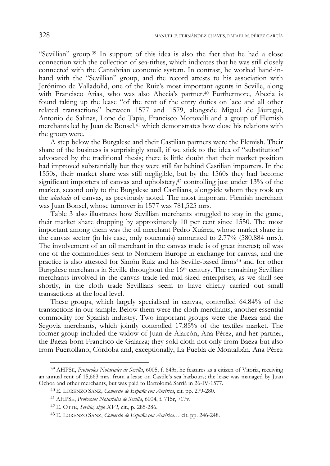"Sevillian" group.39 In support of this idea is also the fact that he had a close connection with the collection of sea-tithes, which indicates that he was still closely connected with the Cantabrian economic system. In contrast, he worked hand-inhand with the "Sevillian" group, and the record attests to his association with Jerónimo de Valladolid, one of the Ruiz's most important agents in Seville, along with Francisco Arias, who was also Abecia's partner.<sup>40</sup> Furthermore, Abecia is found taking up the lease "of the rent of the entry duties on lace and all other related transactions" between 1577 and 1579, alongside Miguel de Jáuregui, Antonio de Salinas, Lope de Tapia, Francisco Morovelli and a group of Flemish merchants led by Juan de Bonsel,41 which demonstrates how close his relations with the group were.

A step below the Burgalese and their Castilian partners were the Flemish. Their share of the business is surprisingly small, if we stick to the idea of "substitution" advocated by the traditional thesis; there is little doubt that their market position had improved substantially but they were still far behind Castilian importers. In the 1550s, their market share was still negligible, but by the 1560s they had become significant importers of canvas and upholstery,<sup>42</sup> controlling just under 13% of the market, second only to the Burgalese and Castilians, alongside whom they took up the *alcabala* of canvas, as previously noted. The most important Flemish merchant was Juan Bonsel, whose turnover in 1577 was 781,525 mrs.

Table 3 also illustrates how Sevillian merchants struggled to stay in the game, their market share dropping by approximately 10 per cent since 1550. The most important among them was the oil merchant Pedro Xuárez, whose market share in the canvas sector (in his case, only rouennais) amounted to 2.77% (580.884 mrs.). The involvement of an oil merchant in the canvas trade is of great interest; oil was one of the commodities sent to Northern Europe in exchange for canvas, and the practice is also attested for Simón Ruiz and his Seville-based firms<sup>43</sup> and for other Burgalese merchants in Seville throughout the 16th century. The remaining Sevillian merchants involved in the canvas trade led mid-sized enterprises; as we shall see shortly, in the cloth trade Sevillians seem to have chiefly carried out small transactions at the local level.

These groups, which largely specialised in canvas, controlled 64.84% of the transactions in our sample. Below them were the cloth merchants, another essential commodity for Spanish industry. Two important groups were the Baeza and the Segovia merchants, which jointly controlled 17.85% of the textiles market. The former group included the widow of Juan de Alarcón, Ana Pérez, and her partner, the Baeza-born Francisco de Galarza; they sold cloth not only from Baeza but also from Puertollano, Córdoba and, exceptionally, La Puebla de Montalbán. Ana Pérez

<sup>39</sup> AHPSE, *Protocolos Notariales de Sevilla*, 6005, f. 643r, he features as a citizen of Vitoria, receiving an annual rent of 15,663 mrs. from a lease on Castile's sea harbours; the lease was managed by Juan Ochoa and other merchants, but was paid to Bartolomé Sarriá in 26-IV-1577.

<sup>40</sup> E. LORENZO SANZ, *Comercio de España con América*, cit. pp. 279-280.

<sup>41</sup> AHPSE, *Protocolos Notariales de Sevilla*, 6004, f. 715r, 717v.

<sup>42</sup> E. OTTE, *Sevilla, siglo XVI*, cit., p. 285-286.

<sup>43</sup> E. LORENZO SANZ, *Comercio de España con América…* cit. pp. 246-248.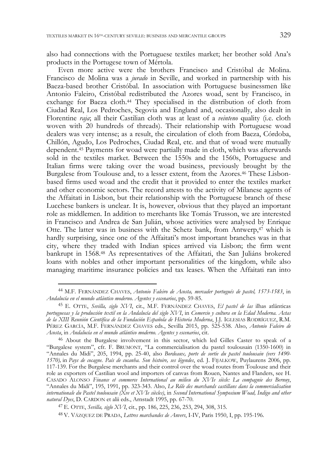also had connections with the Portuguese textiles market; her brother sold Ana's products in the Portugese town of Mértola.

Even more active were the brothers Francisco and Cristóbal de Molina. Francisco de Molina was a *jurado* in Seville, and worked in partnership with his Baeza-based brother Cristóbal. In association with Portuguese businessmen like Antonio Faleiro, Cristóbal redistributed the Azores woad, sent by Francisco, in exchange for Baeza cloth.44 They specialised in the distribution of cloth from Ciudad Real, Los Pedroches, Segovia and England and, occasionally, also dealt in Florentine *raja*; all their Castilian cloth was at least of a *veinteno* quality (i.e. cloth woven with 20 hundreds of threads). Their relationship with Portuguese woad dealers was very intense; as a result, the circulation of cloth from Baeza, Córdoba, Chillón, Agudo, Los Pedroches, Ciudad Real, etc. and that of woad were mutually dependent.45 Payments for woad were partially made in cloth, which was afterwards sold in the textiles market. Between the 1550s and the 1560s, Portuguese and Italian firms were taking over the woad business, previously brought by the Burgalese from Toulouse and, to a lesser extent, from the Azores.46 These Lisbonbased firms used woad and the credit that it provided to enter the textiles market and other economic sectors. The record attests to the activity of Milanese agents of the Affaitati in Lisbon, but their relationship with the Portuguese branch of these Lucchese bankers is unclear. It is, however, obvious that they played an important role as middlemen. In addition to merchants like Tomás Trusson, we are interested in Francisco and Andrea de San Julián, whose activities were analysed by Enrique Otte. The latter was in business with the Schetz bank, from Antwerp,<sup>47</sup> which is hardly surprising, since one of the Affaitati's most important branches was in that city, where they traded with Indian spices arrived via Lisbon; the firm went bankrupt in 1568.48 As representatives of the Affaitati, the San Juliáns brokered loans with nobles and other important personalities of the kingdom, while also managing maritime insurance policies and tax leases. When the Affaitati ran into

<sup>44</sup> M.F. FERNÁNDEZ CHAVES, *Antonio Faleiro de Acosta, mercader portugués de pastel, 1573-1583*, in *Andalucía en el mundo atlántico moderno. Agentes y escenarios*, pp. 59-85.

<sup>45</sup> E. OTTE, *Sevilla, siglo XVI*, cit., M.F. FERNÁNDEZ CHAVES, *El pastel de las* ilhas atlânticas *portuguesas y la producción textil en la Andalucía del siglo XVI*, in *Comercio y cultura en la Edad Moderna. Actas de la XIII Reunión Científica de la Fundación Española de Historia Moderna*, J.J. IGLESIAS RODRÍGUEZ, R.M. PÉREZ GARCÍA, M.F. FERNÁNDEZ CHAVES eds., Sevilla 2015, pp. 525-538. Also, *Antonio Faleiro de Acosta*, in *Andalucía en el mundo atlántico moderno. Agentes y escenarios*, cit.

<sup>46</sup> About the Burgalese involvement in this sector, which led Gilles Caster to speak of a "Burgalese system", cfr. F. BRUMONT, "La commercialisation du pastel toulousain (1350-1600) in "Annales du Midi", 205, 1994, pp. 25-40, also *Bordeaux, porte de sortie du pastel toulousain (vers 1490- 1570),* in *Pays de cocagne. País de cocanha. Son histoire, ses légendes*, ed. J. FIJALKOW, Puylaurens 2006, pp. 117-139. For the Burgalese merchants and their control over the woad routes from Toulouse and their role as exporters of Castilian wool and importers of canvas from Rouen, Nantes and Flanders, see H. CASADO ALONSO *Finance et commerce International au milieu du XVIe siècle: La compagnie des Bernuy*, "Annales du Midi", 195, 1991, pp. 323-343. Also, *Le Rôle des marchands castillans dans la commercialisation internationale du Pastel toulousain (Xve et XVIe siècles)*, in *Second International Symposium Woad, Indigo and other natural Dyes*, D. CARDON et alii eds., Arnstadt 1995, pp. 67-70.

<sup>47</sup> E. OTTE, *Sevilla, siglo XVI*, cit., pp. 186, 225, 236, 253, 294, 308, 315.

<sup>48</sup> V. VÁZQUEZ DE PRADA, *Lettres marchandes de Anvers*, I-IV, Paris 1950, I, pp. 195-196.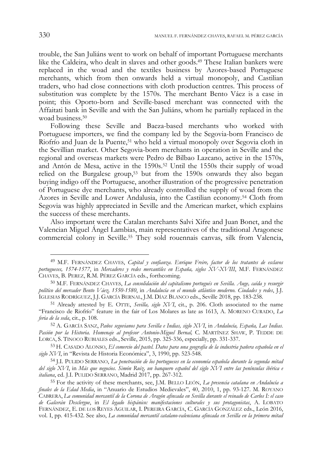trouble, the San Juliáns went to work on behalf of important Portuguese merchants like the Caldeira, who dealt in slaves and other goods.49 These Italian bankers were replaced in the woad and the textiles business by Azores-based Portuguese merchants, which from then onwards held a virtual monopoly, and Castilian traders, who had close connections with cloth production centres. This process of substitution was complete by the 1570s. The merchant Bento Váez is a case in point; this Oporto-born and Seville-based merchant was connected with the Affaitati bank in Seville and with the San Juliáns, whom he partially replaced in the woad business.50

Following these Seville and Baeza-based merchants who worked with Portuguese importers, we find the company led by the Segovia-born Francisco de Riofrío and Juan de la Puente,51 who held a virtual monopoly over Segovia cloth in the Sevillian market. Other Segovia-born merchants in operation in Seville and the regional and overseas markets were Pedro de Bilbao Lazcano, active in the 1570s, and Antón de Mesa, active in the 1590s.52 Until the 1550s their supply of woad relied on the Burgalese group,<sup>53</sup> but from the 1590s onwards they also began buying indigo off the Portuguese, another illustration of the progressive penetration of Portuguese dye merchants, who already controlled the supply of woad from the Azores in Seville and Lower Andalusia, into the Castilian economy.54 Cloth from Segovia was highly appreciated in Seville and the American market, which explains the success of these merchants.

Also important were the Catalan merchants Salvi Xifre and Juan Bonet, and the Valencian Miguel Ángel Lambias, main representatives of the traditional Aragonese commercial colony in Seville.55 They sold rouennais canvas, silk from Valencia,

<sup>49</sup> M.F. FERNÁNDEZ CHAVES, *Capital y confianza. Enrique Freire, factor de los tratantes de esclavos portugueses, 1574-1577*, in *Mercaderes y redes mercantiles en España, siglos XV-XVIII*, M.F. FERNÁNDEZ CHAVES, B. PEREZ, R.M. PÉREZ GARCÍA eds., forthcoming.

<sup>50</sup> M.F. FERNÁNDEZ CHAVES, *La consolidación del capitalismo portugués en Sevilla. Auge, caída y resurgir político del mercader Bento Váez, 1550-1580*, in *Andalucía en el mundo atlántico moderno. Ciudades y redes*, J.J. IGLESIAS RODRÍGUEZ, J.J. GARCÍA BERNAL, J.M. DÍAZ BLANCO eds., Seville 2018, pp. 183-238.

<sup>51</sup> Already attested by E. OTTE, *Sevilla, siglo XVI*, cit., p. 206. Cloth associated to the name "Francisco de Riofrío" feature in the fair of Los Molares as late as 1613, A. MORENO CURADO, *La feria de la seda*, cit., p. 108.

<sup>52</sup> A. GARCÍA SANZ, *Paños segovianos para Sevilla e Indias, siglo XVI*, in *Andalucía, España, Las Indias. Pasión por la Historia. Homenaje al profesor Antonio-Miguel Bernal,* C. MARTÍNEZ SHAW, P. TEDDE DE LORCA, S. TINOCO RUBIALES eds., Seville, 2015, pp. 325-336, especially, pp. 331-337.

<sup>53</sup> H. CASADO ALONSO, *El comercio del pastel. Datos para una geografía de la industria pañera española en el siglo XVI*, in "Revista de Historia Económica", 3, 1990, pp. 523-548.

<sup>54</sup> J.I. PULIDO SERRANO, *La penetración de los portugueses en la economía española durante la segunda mitad del siglo XVI*, in *Más que negocios. Simón Ruiz, un banquero español del siglo XVI entre las penínsulas ibérica e italiana*, ed. J.I. PULIDO SERRANO, Madrid 2017, pp. 267-312.

<sup>55</sup> For the activity of these merchants, see, J.M. BELLO LEÓN, *La presencia catalana en Andalucía a finales de la Edad Media*, in "Anuario de Estudios Medievales", 40, 2010, 1, pp. 93-127. M. ROYANO CABRERA, *La comunidad mercantil de la Corona de Aragón afincada en Sevilla durante el reinado de Carlos I: el caso de Galcerán Desclergue*, in *El legado hispánico: manifestaciones culturales y sus protagonistas*, A. LOBATO FERNÁNDEZ, E. DE LOS REYES AGUILAR, I. PEREIRA GARCÍA, C. GARCÍA GONZÁLEZ eds., León 2016, vol. I, pp. 415-432. See also, *La comunidad mercantil catalano-valenciana afincada en Sevilla en la primera mitad*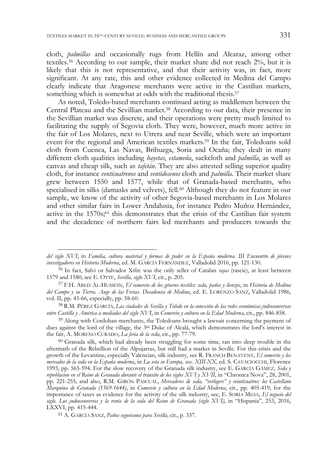cloth, *palmillas* and occasionally rugs from Hellín and Alcaraz, among other textiles.56 According to our sample, their market share did not reach 2%, but it is likely that this is not representative, and that their activity was, in fact, more significant. At any rate, this and other evidence collected in Medina del Campo clearly indicate that Aragonese merchants were active in the Castilian markets, something which is somewhat at odds with the traditional thesis.<sup>57</sup>

As noted, Toledo-based merchants continued acting as middlemen between the Central Plateau and the Sevillian market.58 According to our data, their presence in the Sevillian market was discrete, and their operations were pretty much limited to facilitating the supply of Segovia cloth. They were, however, much more active in the fair of Los Molares, next to Utrera and near Seville, which were an important event for the regional and American textiles markets.59 In the fair, Toledoans sold cloth from Cuenca, Las Navas, Brihuega, Soria and Ocaña; they dealt in many different cloth qualities including *bayetas*, *estameña*, sackcloth and *palmilla*, as well as canvas and cheap silk, such as *tafetán*. They are also attested selling superior quality cloth, for instance *venticuatrenos* and *ventidosenos* cloth and *palmilla*. Their market share grew between 1550 and 1577, while that of Granada-based merchants, who specialised in silks (damasks and velvets), fell.<sup>60</sup> Although they do not feature in our sample, we know of the activity of other Segovia-based merchants in Los Molares and other similar fairs in Lower Andalusia, for instance Pedro Muñoz Hernández, active in the  $1570s$ ;<sup>61</sup> this demonstrates that the crisis of the Castilian fair system and the decadence of northern fairs led merchants and producers towards the

*del siglo XVI*, in *Familia, cultura material y formas de poder en la España moderna. III Encuentro de jóvenes investigadores en Historia Moderna*, ed. M. GARCÍA FERNÁNDEZ, Valladolid 2016, pp. 121-130.

<sup>56</sup> In fact, Salvi or Salvador Xifre was the only seller of Catalan *rajas* (rascie), at least between 1579 and 1580, see E. OTTE, *Sevilla, siglo XVI*, cit., p. 205.

<sup>57</sup> F.H. ABED AL-HUSSEIN, *El comercio de los géneros textiles: seda, paños y lienzos*, in *Historia de Medina del Campo y su Tierra. Auge de las Ferias. Decadencia de Medina*, ed. E. LORENZO SANZ, Valladolid 1986, vol. II, pp. 45-66, especially, pp. 58-60.

<sup>58</sup> R.M. PÉREZ GARCÍA, *Las ciudades de Sevilla y Toledo en la conexión de las redes económicas judeoconversas entre Castilla y América a mediados del siglo XVI*, in *Comercio y cultura en la Edad Moderna*, cit., pp. 846-858.

<sup>59</sup> Along with Cordoban merchants, the Toledoans brought a lawsuit concerning the payment of dues against the lord of the village, the 3rd Duke of Alcalá, which demonstrates the lord's interest in the fair, A. MORENO CURADO, *La feria de la seda*, cit., pp. 77-79.

<sup>60</sup> Granada silk, which had already been struggling for some time, ran into deep trouble in the aftermath of the Rebellion of the Alpujarras, but still had a market in Seville. For this crisis and the growth of the Levantine, especially Valencian, silk industry, see R. FRANCH BENAVENT, *El comercio y los mercados de la seda en la España moderna*, in *La seta in Europa, secc. XIII-XX*, ed. S. CAVACIOCCHI, Florence 1993, pp. 565-594. For the slow recovery of the Granada silk industry, see E. GARCÍA GÁMEZ, *Seda y repoblacion en el Reino de Granada durante el tránsito de los siglos XVI y XVII*, in "Chronica Nova", 28, 2001, pp. 221-255, and also, R.M. GIRÓN PASCUAL, *Mercaderes de seda, "verlegers" y veinticuatros: los Castellano Marquina de Granada (1569-1644)*, in *Comercio y cultura en la Edad Moderna*, cit., pp. 405-419; for the importance of taxes as evidence for the activity of the silk industry, see, E. SORIA MESA, *El negocio del siglo. Los judeoconversos y la renta de la seda del Reino de Granada (siglo XVI)*, in "Hispania", 253, 2016, LXXVI, pp. 415-444.

<sup>61</sup> A. GARCÍA SANZ, *Paños segovianos para Sevilla*, cit., p. 337.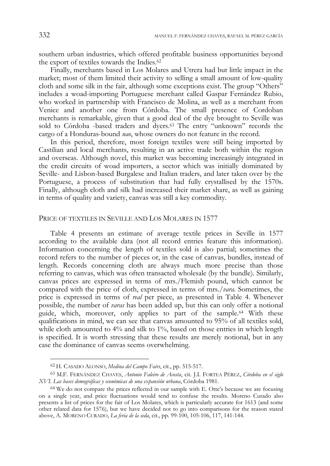southern urban industries, which offered profitable business opportunities beyond the export of textiles towards the Indies.<sup>62</sup>

Finally, merchants based in Los Molares and Utrera had but little impact in the market; most of them limited their activity to selling a small amount of low-quality cloth and some silk in the fair, although some exceptions exist. The group "Others" includes a woad-importing Portuguese merchant called Gaspar Fernández Rubio, who worked in partnership with Francisco de Molina, as well as a merchant from Venice and another one from Córdoba. The small presence of Cordoban merchants is remarkable, given that a good deal of the dye brought to Seville was sold to Córdoba -based traders and dyers.63 The entry "unknown" records the cargo of a Honduras-bound *nao*, whose owners do not feature in the record.

In this period, therefore, most foreign textiles were still being imported by Castilian and local merchants, resulting in an active trade both within the region and overseas. Although novel, this market was becoming increasingly integrated in the credit circuits of woad importers, a sector which was initially dominated by Seville- and Lisbon-based Burgalese and Italian traders, and later taken over by the Portuguese, a process of substitution that had fully crystallised by the 1570s. Finally, although cloth and silk had increased their market share, as well as gaining in terms of quality and variety, canvas was still a key commodity.

#### PRICE OF TEXTILES IN SEVILLE AND LOS MOLARES IN 1577

Table 4 presents an estimate of average textile prices in Seville in 1577 according to the available data (not all record entries feature this information). Information concerning the length of textiles sold is also partial; sometimes the record refers to the number of pieces or, in the case of canvas, bundles, instead of length. Records concerning cloth are always much more precise than those referring to canvas, which was often transacted wholesale (by the bundle). Similarly, canvas prices are expressed in terms of mrs./Flemish pound, which cannot be compared with the price of cloth, expressed in terms of mrs./*vara*. Sometimes, the price is expressed in terms of *real* per piece, as presented in Table 4. Whenever possible, the number of *varas* has been added up, but this can only offer a notional guide, which, moreover, only applies to part of the sample.64 With these qualifications in mind, we can see that canvas amounted to 95% of all textiles sold, while cloth amounted to 4% and silk to 1%, based on those entries in which length is specified. It is worth stressing that these results are merely notional, but in any case the dominance of canvas seems overwhelming.

<sup>62</sup> H. CASADO ALONSO, *Medina del Campo Fairs*, cit., pp. 515-517.

<sup>63</sup> M.F. FERNÁNDEZ CHAVES, *Antonio Faleiro de Acosta*, cit. J.I. FORTEA PÉREZ, *Córdoba en el siglo XVI. Las bases demográficas y económicas de una expansión urbana*, Córdoba 1981.

<sup>&</sup>lt;sup>64</sup> We do not compare the prices reflected in our sample with E. Otte's because we are focusing on a single year, and price fluctuations would tend to confuse the results. Moreno Curado also presents a list of prices for the fair of Los Molares, which is particularly accurate for 1613 (and some other related data for 1576), but we have decided not to go into comparisons for the reason stated above, A. MORENO CURADO, *La feria de la seda*, cit., pp. 99-100, 105-106, 117, 141-144.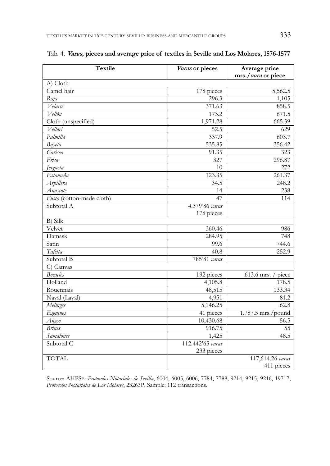| <b>Textile</b>            | Varas or pieces  | Average price        |  |
|---------------------------|------------------|----------------------|--|
|                           |                  | mrs./vara or piece   |  |
| A) Cloth                  |                  |                      |  |
| Camel hair                | 178 pieces       | 5,562.5              |  |
| Raja                      | 296.3            | 1,105                |  |
| Velarte                   | 371.63           | 858.5                |  |
| Vellón                    | 173.2            | 671.5                |  |
| Cloth (unspecified)       | 1,971.28         | 665.39               |  |
| Vellorí                   | 52.5             | 629                  |  |
| Palmilla                  | 337.9            | 603.7                |  |
| Bayeta                    | 535.85           | 356.42               |  |
| Carisea                   | 91.35            | 323                  |  |
| Frisa                     | 327              | 296.87               |  |
| Jergueta                  | 10               | 272                  |  |
| Estameña                  | 123.35           | 261.37               |  |
| Arpillera                 | 34.5             | 248.2                |  |
| Anascote                  | 14               | 238                  |  |
| Fusta (cotton-made cloth) | 47               | 114                  |  |
| Subtotal A                | 4.379'86 varas   |                      |  |
|                           | 178 pieces       |                      |  |
| $B)$ Silk                 |                  |                      |  |
| Velvet                    | 360.46           | 986                  |  |
| Damask                    | 284.95           | 748                  |  |
| Satin                     | 99.6             | 744.6                |  |
| Tafetta                   | 40.8             | 252.9                |  |
| Subtotal B                | 785'81 varas     |                      |  |
| C) Canvas                 |                  |                      |  |
| <b>Bocacíes</b>           | 192 pieces       | 613.6 mrs.<br>piece  |  |
| Holland                   | 4,105.8          | 178.5                |  |
| Rouennais                 | 48,515           | 133.34               |  |
| Naval (Laval)             | 4,951            | 81.2                 |  |
| Melinges                  | 5,146.25         | 62.8                 |  |
| <b>Esguines</b>           | 41 pieces        | $1.787.5$ mrs./pound |  |
| Angeo                     | 10,430.68        | 56.5                 |  |
| <b>Brines</b>             | 916.75           | 55                   |  |
| <b>Samalones</b>          | 1,425            | 48.5                 |  |
| Subtotal C                | 112.442'65 varas |                      |  |
|                           | 233 pieces       |                      |  |
| <b>TOTAL</b>              |                  | 117,614.26 varas     |  |
|                           |                  | 411 pieces           |  |

# Tab. 4. **Varas, pieces and average price of textiles in Seville and Los Molares, 1576-1577**

Source: AHPSE: *Protocolos Notariales de Sevilla*, 6004, 6005, 6006, 7784, 7788, 9214, 9215, 9216, 19717; *Protocolos Notariales de Los Molares*, 23263P. Sample: 112 transactions.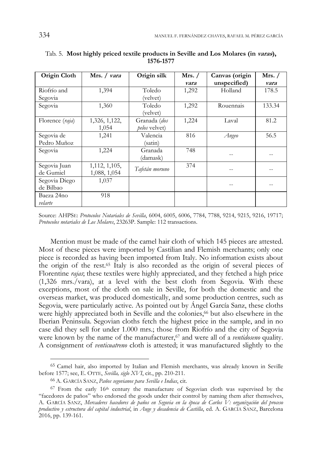| Origin Cloth    | Mrs. / vara   | Origin silk    | Mrs. $/$ | Canvas (origin | Mrs. $/$ |
|-----------------|---------------|----------------|----------|----------------|----------|
|                 |               |                | vara     | unspecified)   | vara     |
| Riofrío and     | 1,394         | Toledo         | 1,292    | Holland        | 178.5    |
| Segovia         |               | (velvet)       |          |                |          |
| Segovia         | 1,360         | Toledo         | 1,292    | Rouennais      | 133.34   |
|                 |               | (velvet)       |          |                |          |
| Florence (raja) | 1,326, 1,122, | Granada (dos   | 1,224    | Laval          | 81.2     |
|                 | 1,054         | pelos velvet)  |          |                |          |
| Segovia de      | 1,241         | Valencia       | 816      | Angeo          | 56.5     |
| Pedro Muñoz     |               | (satin)        |          |                |          |
| Segovia         | 1,224         | Granada        | 748      | --             |          |
|                 |               | (damask)       |          |                |          |
| Segovia Juan    | 1,112, 1,105, | Tafetán moruno | 374      |                |          |
| de Gumiel       | 1,088, 1,054  |                |          | --             |          |
| Segovia Diego   | 1,037         |                |          |                |          |
| de Bilbao       |               |                |          | --             |          |
| Baeza 24no      | 918           |                |          |                |          |
| velarte         |               |                |          |                |          |

Tab. 5. **Most highly priced textile products in Seville and Los Molares (in varas), 1576-1577** 

Source: AHPSE: *Protocolos Notariales de Sevilla*, 6004, 6005, 6006, 7784, 7788, 9214, 9215, 9216, 19717; *Protocolos notariales de Los Molares*, 23263P. Sample: 112 transactions.

Mention must be made of the camel hair cloth of which 145 pieces are attested. Most of these pieces were imported by Castilian and Flemish merchants; only one piece is recorded as having been imported from Italy. No information exists about the origin of the rest.65 Italy is also recorded as the origin of several pieces of Florentine *rajas*; these textiles were highly appreciated, and they fetched a high price (1,326 mrs./vara), at a level with the best cloth from Segovia. With these exceptions, most of the cloth on sale in Seville, for both the domestic and the overseas market, was produced domestically, and some production centres, such as Segovia, were particularly active. As pointed out by Ángel García Sanz, these cloths were highly appreciated both in Seville and the colonies,<sup>66</sup> but also elsewhere in the Iberian Peninsula. Segovian cloths fetch the highest price in the sample, and in no case did they sell for under 1.000 mrs.; those from Riofrío and the city of Segovia were known by the name of the manufacturer,<sup>67</sup> and were all of a *ventidoseno* quality. A consignment of *venticuatreno* cloth is attested; it was manufactured slightly to the

<sup>65</sup> Camel hair, also imported by Italian and Flemish merchants, was already known in Seville before 1577; see, E. OTTE, *Sevilla, siglo XVI*, cit., pp. 210-211.

<sup>66</sup> A. GARCÍA SANZ, *Paños segovianos para Sevilla e Indias*, cit.

 $67$  From the early  $16<sup>th</sup>$  century the manufacture of Segovian cloth was supervised by the "facedores de paños" who endorsed the goods under their control by naming them after themselves, A. GARCÍA SANZ, *Mercaderes hacedores de paños en Segovia en la época de Carlos V: organización del proceso productivo y estructura del capital industrial*, in *Auge y decadencia de Castilla*, ed. A. GARCÍA SANZ, Barcelona 2016, pp. 139-161.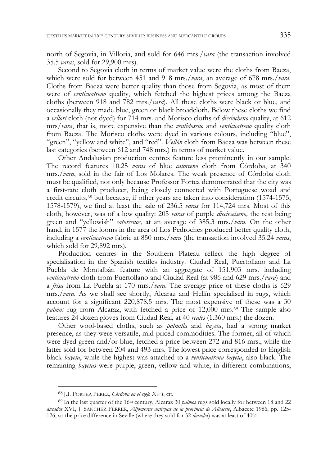north of Segovia, in Villoria, and sold for 646 mrs./*vara* (the transaction involved 35.5 *varas*, sold for 29,900 mrs).

Second to Segovia cloth in terms of market value were the cloths from Baeza, which were sold for between 451 and 918 mrs./*vara*, an average of 678 mrs./*vara*. Cloths from Baeza were better quality than those from Segovia, as most of them were of *venticuatreno* quality, which fetched the highest prices among the Baeza cloths (between 918 and 782 mrs./*vara*). All these cloths were black or blue, and occasionally they made blue, green or black broadcloth. Below these cloths we find a *vellorí* cloth (not dyed) for 714 mrs. and Morisco cloths of *dieciocheno* quality, at 612 mrs/*vara*, that is, more expensive than the *ventidoseno* and *venticuatreno* quality cloth from Baeza. The Morisco cloths were dyed in various colours, including "blue", "green", "yellow and white", and "red". *Vellón* cloth from Baeza was between these last categories (between 612 and 748 mrs.) in terms of market value.

Other Andalusian production centres feature less prominently in our sample. The record features 10.25 *varas* of blue *catorceno* cloth from Córdoba, at 340 mrs./*vara*, sold in the fair of Los Molares. The weak presence of Córdoba cloth must be qualified, not only because Professor Fortea demonstrated that the city was a first-rate cloth producer, being closely connected with Portuguese woad and credit circuits,68 but because, if other years are taken into consideration (1574-1575, 1578-1579), we find at least the sale of 236.5 *varas* for 114,724 mrs. Most of this cloth, however, was of a low quality: 205 *varas* of purple *diecieseiseno,* the rest being green and "yellowish" *catorcenos*, at an average of 385.3 mrs./*vara*. On the other hand, in 1577 the looms in the area of Los Pedroches produced better quality cloth, including a *venticuatreno* fabric at 850 mrs./*vara* (the transaction involved 35.24 *varas*, which sold for 29,892 mrs).

Production centres in the Southern Plateau reflect the high degree of specialisation in the Spanish textiles industry. Ciudad Real, Puertollano and La Puebla de Montalbán feature with an aggregate of 151,903 mrs. including *venticuatreno* cloth from Puertollano and Ciudad Real (at 986 and 629 mrs./*vara*) and a *frisa* from La Puebla at 170 mrs./*vara*. The average price of these cloths is 629 mrs./*vara*. As we shall see shortly, Alcaraz and Hellín specialised in rugs, which account for a significant 220,878.5 mrs. The most expensive of these was a 30 *palmos* rug from Alcaraz, with fetched a price of 12,000 mrs.<sup>69</sup> The sample also features 24 dozen gloves from Ciudad Real, at 40 *reales* (1.360 mrs.) the dozen.

Other wool-based cloths, such as *palmilla* and *bayeta*, had a strong market presence, as they were versatile, mid-priced commodities. The former, all of which were dyed green and/or blue, fetched a price between 272 and 816 mrs., while the latter sold for between 204 and 493 mrs. The lowest price corresponded to English black *bayeta*, while the highest was attached to a *venticuatrena bayeta*, also black. The remaining *bayetas* were purple, green, yellow and white, in different combinations,

<sup>68</sup> J.I. FORTEA PÉREZ, *Córdoba en el siglo XVI*, cit.

<sup>&</sup>lt;sup>69</sup> In the last quarter of the 16<sup>th</sup> century, Alcaraz 30 *palmos* rugs sold locally for between 18 and 22 *ducados* XVI, J. SÁNCHEZ FERRER, *Alfombras antiguas de la provincia de Albacete*, Albacete 1986, pp. 125- 126, so the price difference in Seville (where they sold for 32 *ducados*) was at least of 40%.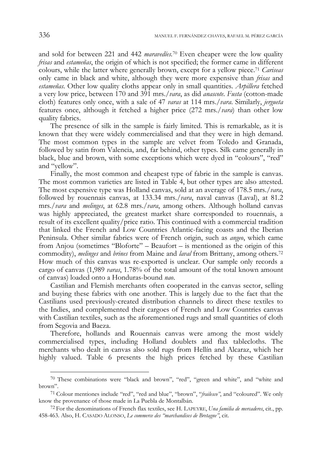and sold for between 221 and 442 *maravedíes.*70 Even cheaper were the low quality *frisas* and *estameñas*, the origin of which is not specified; the former came in different colours, while the latter where generally brown, except for a yellow piece.71 *Cariseas* only came in black and white, although they were more expensive than *frisas* and *estameñas*. Other low quality cloths appear only in small quantities. *Arpillera* fetched a very low price, between 170 and 391 mrs./*vara*, as did *anascote*. *Fusta* (cotton-made cloth) features only once, with a sale of 47 *varas* at 114 mrs./*vara*. Similarly, *jergueta* features once, although it fetched a higher price (272 mrs./*vara*) than other low quality fabrics.

The presence of silk in the sample is fairly limited. This is remarkable, as it is known that they were widely commercialised and that they were in high demand. The most common types in the sample are velvet from Toledo and Granada, followed by satin from Valencia, and, far behind, other types. Silk came generally in black, blue and brown, with some exceptions which were dyed in "colours", "red" and "yellow".

Finally, the most common and cheapest type of fabric in the sample is canvas. The most common varieties are listed in Table 4, but other types are also attested. The most expensive type was Holland canvas, sold at an average of 178.5 mrs./*vara*, followed by rouennais canvas, at 133.34 mrs./*vara*, naval canvas (Laval), at 81.2 mrs./*vara* and *melinges*, at 62.8 mrs./*vara*, among others. Although holland canvas was highly appreciated, the greatest market share corresponded to rouennais, a result of its excellent quality/price ratio. This continued with a commercial tradition that linked the French and Low Countries Atlantic-facing coasts and the Iberian Peninsula. Other similar fabrics were of French origin, such as *angeo*, which came from Anjou (sometimes "Bloforte" – Beaufort – is mentioned as the origin of this commodity), *melinges* and *brines* from Maine and *laval* from Brittany, among others.72 How much of this canvas was re-exported is unclear. Our sample only records a cargo of canvas (1,989 *varas*, 1.78% of the total amount of the total known amount of canvas) loaded onto a Honduras-bound *nao*.

Castilian and Flemish merchants often cooperated in the canvas sector, selling and buying these fabrics with one another. This is largely due to the fact that the Castilians used previously-created distribution channels to direct these textiles to the Indies, and complemented their cargoes of French and Low Countries canvas with Castilian textiles, such as the aforementioned rugs and small quantities of cloth from Segovia and Baeza.

Therefore, hollands and Rouennais canvas were among the most widely commercialised types, including Holland doublets and flax tablecloths. The merchants who dealt in canvas also sold rugs from Hellín and Alcaraz, which her highly valued. Table 6 presents the high prices fetched by these Castilian

<sup>70</sup> These combinations were "black and brown", "red", "green and white", and "white and brown".

<sup>71</sup> Colour mentiones include "red", "red and blue", "brown", "*frailesco"*, and "coloured". We only know the provenance of those made in La Puebla de Montalbán.

<sup>72</sup> For the denominations of French flax textiles, see H. LAPEYRE, *Una familia de mercaderes*, cit., pp. 458-463. Also, H. CASADO ALONSO, *Le commerce des "marchandises de Bretagne"*, cit.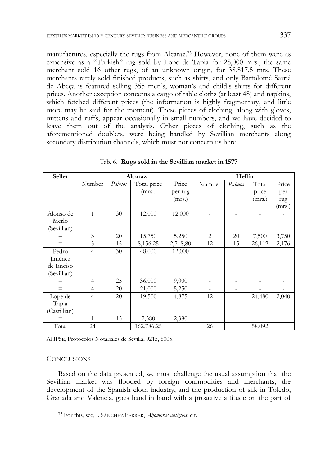manufactures, especially the rugs from Alcaraz.73 However, none of them were as expensive as a "Turkish" rug sold by Lope de Tapia for 28,000 mrs.; the same merchant sold 16 other rugs, of an unknown origin, for 38,817.5 mrs. These merchants rarely sold finished products, such as shirts, and only Bartolomé Sarriá de Abeça is featured selling 355 men's, woman's and child's shirts for different prices. Another exception concerns a cargo of table cloths (at least 48) and napkins, which fetched different prices (the information is highly fragmentary, and little more may be said for the moment). These pieces of clothing, along with gloves, mittens and ruffs, appear occasionally in small numbers, and we have decided to leave them out of the analysis. Other pieces of clothing, such as the aforementioned doublets, were being handled by Sevillian merchants along secondary distribution channels, which must not concern us here.

| Seller       | Alcaraz        |                |             | Hellín   |                |        |        |        |
|--------------|----------------|----------------|-------------|----------|----------------|--------|--------|--------|
|              | Number         | Palmos         | Total price | Price    | Number         | Palmos | Total  | Price  |
|              |                |                | (mrs.)      | per rug  |                |        | price  | per    |
|              |                |                |             | (mrs.)   |                |        | (mrs.) | rug    |
|              |                |                |             |          |                |        |        | (mrs.) |
| Alonso de    | $\mathbf{1}$   | 30             | 12,000      | 12,000   |                |        |        |        |
| Merlo        |                |                |             |          |                |        |        |        |
| (Sevillian)  |                |                |             |          |                |        |        |        |
| $=$          | 3              | 20             | 15,750      | 5,250    | $\overline{c}$ | 20     | 7,500  | 3,750  |
| $=$          | 3              | 15             | 8,156.25    | 2,718,80 | 12             | 15     | 26,112 | 2,176  |
| Pedro        | $\overline{4}$ | 30             | 48,000      | 12,000   |                |        |        |        |
| Jiménez      |                |                |             |          |                |        |        |        |
| de Enciso    |                |                |             |          |                |        |        |        |
| (Sevillian)  |                |                |             |          |                |        |        |        |
| $=$          | $\overline{4}$ | 25             | 36,000      | 9,000    |                | ۰      |        |        |
| $=$          | $\overline{4}$ | 20             | 21,000      | 5,250    |                |        |        |        |
| Lope de      | $\overline{4}$ | 20             | 19,500      | 4,875    | 12             | L.     | 24,480 | 2,040  |
| Tapia        |                |                |             |          |                |        |        |        |
| (Castillian) |                |                |             |          |                |        |        |        |
|              | $\mathbf{1}$   | 15             | 2,380       | 2,380    |                |        |        |        |
| Total        | 24             | $\overline{a}$ | 162,786.25  |          | 26             | ۰      | 58,092 |        |

Tab. 6. **Rugs sold in the Sevillian market in 1577** 

AHPSE, Protocolos Notariales de Sevilla, 9215, 6005.

#### **CONCLUSIONS**

-

Based on the data presented, we must challenge the usual assumption that the Sevillian market was flooded by foreign commodities and merchants; the development of the Spanish cloth industry, and the production of silk in Toledo, Granada and Valencia, goes hand in hand with a proactive attitude on the part of

<sup>73</sup> For this, see, J. SÁNCHEZ FERRER, *Alfombras antiguas*, cit.